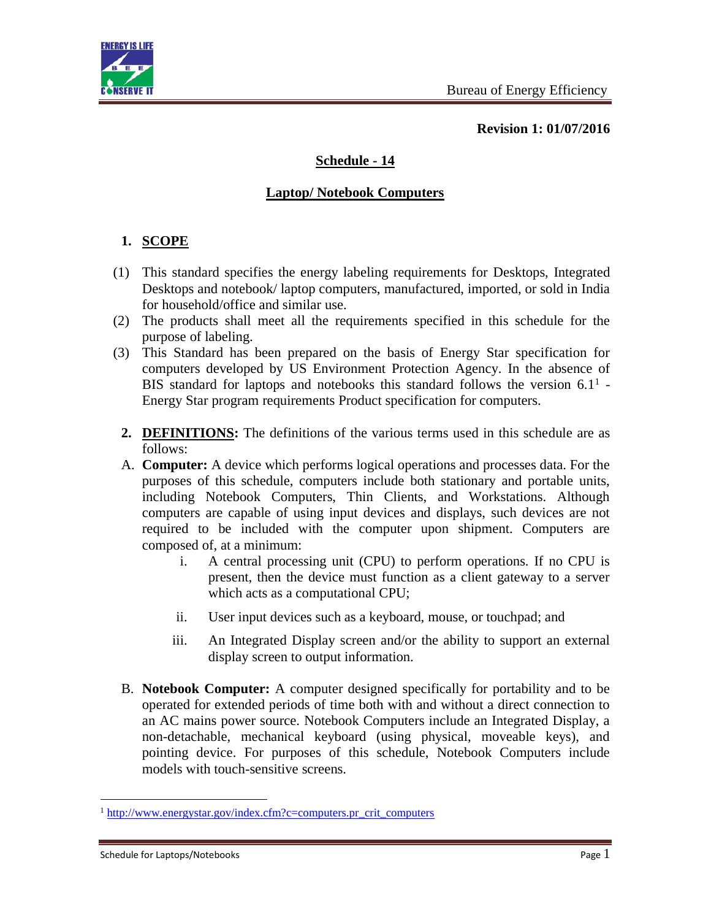

**Revision 1: 01/07/2016**

# **Schedule - 14**

### **Laptop/ Notebook Computers**

## **1. SCOPE**

- (1) This standard specifies the energy labeling requirements for Desktops, Integrated Desktops and notebook/ laptop computers, manufactured, imported, or sold in India for household/office and similar use.
- (2) The products shall meet all the requirements specified in this schedule for the purpose of labeling.
- (3) This Standard has been prepared on the basis of Energy Star specification for computers developed by US Environment Protection Agency. In the absence of BIS standard for laptops and notebooks this standard follows the version  $6.1<sup>1</sup>$  -Energy Star program requirements Product specification for computers.
	- **2. DEFINITIONS:** The definitions of the various terms used in this schedule are as follows:
	- A. **Computer:** A device which performs logical operations and processes data. For the purposes of this schedule, computers include both stationary and portable units, including Notebook Computers, Thin Clients, and Workstations. Although computers are capable of using input devices and displays, such devices are not required to be included with the computer upon shipment. Computers are composed of, at a minimum:
		- i. A central processing unit (CPU) to perform operations. If no CPU is present, then the device must function as a client gateway to a server which acts as a computational CPU;
		- ii. User input devices such as a keyboard, mouse, or touchpad; and
		- iii. An Integrated Display screen and/or the ability to support an external display screen to output information.
	- B. **Notebook Computer:** A computer designed specifically for portability and to be operated for extended periods of time both with and without a direct connection to an AC mains power source. Notebook Computers include an Integrated Display, a non-detachable, mechanical keyboard (using physical, moveable keys), and pointing device. For purposes of this schedule, Notebook Computers include models with touch-sensitive screens.

 $\overline{a}$ 

<sup>&</sup>lt;sup>1</sup> [http://www.energystar.gov/index.cfm?c=computers.pr\\_crit\\_computers](http://www.energystar.gov/index.cfm?c=computers.pr_crit_computers)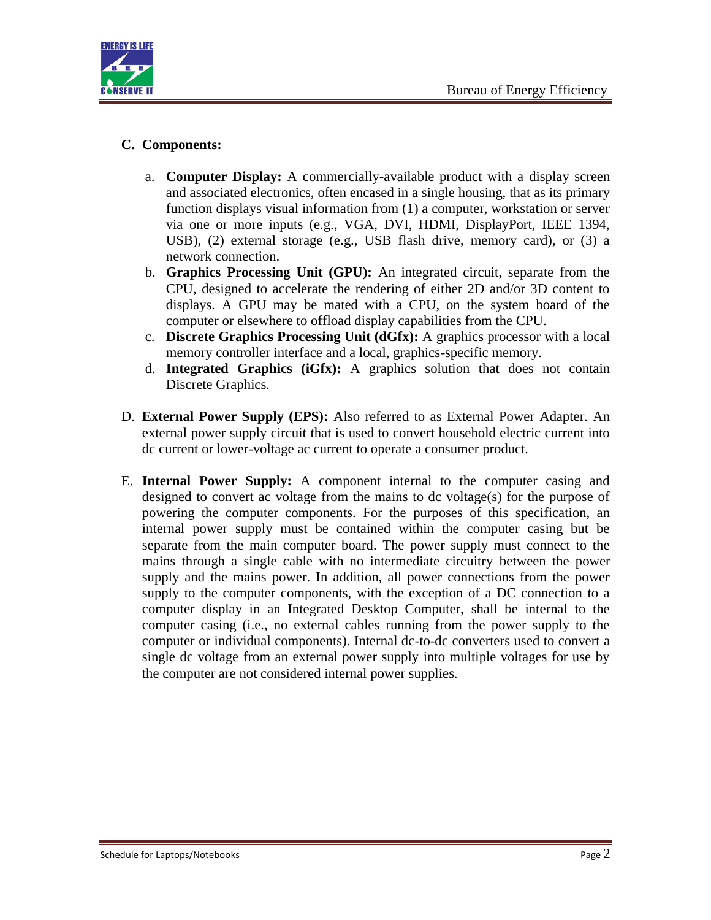

## **C. Components:**

- a. **Computer Display:** A commercially-available product with a display screen and associated electronics, often encased in a single housing, that as its primary function displays visual information from (1) a computer, workstation or server via one or more inputs (e.g., VGA, DVI, HDMI, DisplayPort, IEEE 1394, USB), (2) external storage (e.g., USB flash drive, memory card), or (3) a network connection.
- b. **Graphics Processing Unit (GPU):** An integrated circuit, separate from the CPU, designed to accelerate the rendering of either 2D and/or 3D content to displays. A GPU may be mated with a CPU, on the system board of the computer or elsewhere to offload display capabilities from the CPU.
- c. **Discrete Graphics Processing Unit (dGfx):** A graphics processor with a local memory controller interface and a local, graphics-specific memory.
- d. **Integrated Graphics (iGfx):** A graphics solution that does not contain Discrete Graphics.
- D. **External Power Supply (EPS):** Also referred to as External Power Adapter. An external power supply circuit that is used to convert household electric current into dc current or lower-voltage ac current to operate a consumer product.
- E. **Internal Power Supply:** A component internal to the computer casing and designed to convert ac voltage from the mains to dc voltage(s) for the purpose of powering the computer components. For the purposes of this specification, an internal power supply must be contained within the computer casing but be separate from the main computer board. The power supply must connect to the mains through a single cable with no intermediate circuitry between the power supply and the mains power. In addition, all power connections from the power supply to the computer components, with the exception of a DC connection to a computer display in an Integrated Desktop Computer, shall be internal to the computer casing (i.e., no external cables running from the power supply to the computer or individual components). Internal dc-to-dc converters used to convert a single dc voltage from an external power supply into multiple voltages for use by the computer are not considered internal power supplies.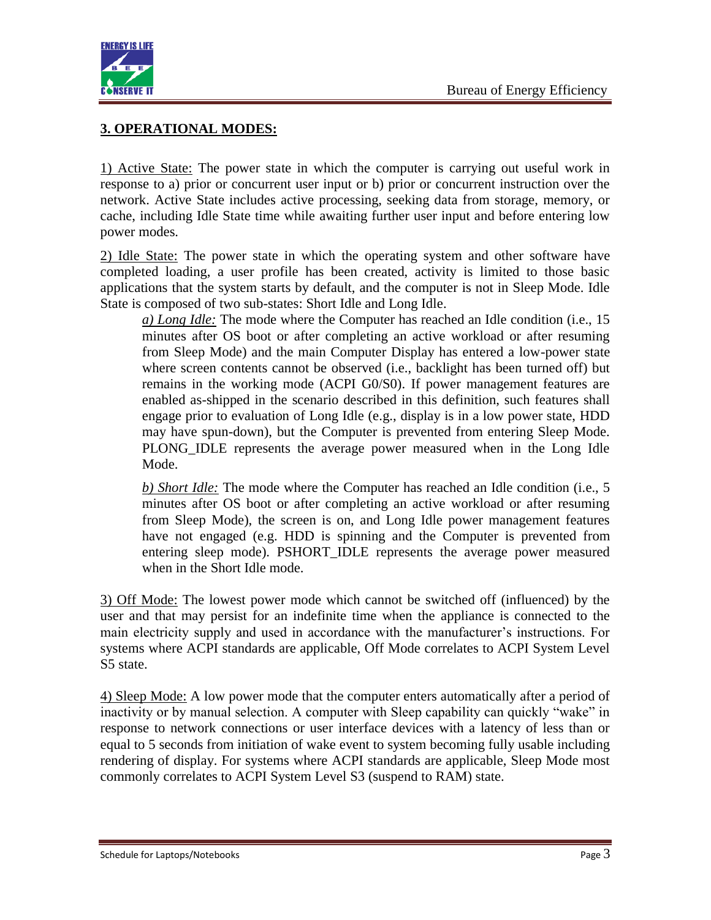

## **3. OPERATIONAL MODES:**

1) Active State: The power state in which the computer is carrying out useful work in response to a) prior or concurrent user input or b) prior or concurrent instruction over the network. Active State includes active processing, seeking data from storage, memory, or cache, including Idle State time while awaiting further user input and before entering low power modes.

2) Idle State: The power state in which the operating system and other software have completed loading, a user profile has been created, activity is limited to those basic applications that the system starts by default, and the computer is not in Sleep Mode. Idle State is composed of two sub-states: Short Idle and Long Idle.

*a) Long Idle:* The mode where the Computer has reached an Idle condition (i.e., 15 minutes after OS boot or after completing an active workload or after resuming from Sleep Mode) and the main Computer Display has entered a low-power state where screen contents cannot be observed (i.e., backlight has been turned off) but remains in the working mode (ACPI G0/S0). If power management features are enabled as-shipped in the scenario described in this definition, such features shall engage prior to evaluation of Long Idle (e.g., display is in a low power state, HDD may have spun-down), but the Computer is prevented from entering Sleep Mode. PLONG\_IDLE represents the average power measured when in the Long Idle Mode.

*b) Short Idle:* The mode where the Computer has reached an Idle condition (i.e., 5 minutes after OS boot or after completing an active workload or after resuming from Sleep Mode), the screen is on, and Long Idle power management features have not engaged (e.g. HDD is spinning and the Computer is prevented from entering sleep mode). PSHORT IDLE represents the average power measured when in the Short Idle mode.

3) Off Mode: The lowest power mode which cannot be switched off (influenced) by the user and that may persist for an indefinite time when the appliance is connected to the main electricity supply and used in accordance with the manufacturer's instructions. For systems where ACPI standards are applicable, Off Mode correlates to ACPI System Level S5 state.

4) Sleep Mode: A low power mode that the computer enters automatically after a period of inactivity or by manual selection. A computer with Sleep capability can quickly "wake" in response to network connections or user interface devices with a latency of less than or equal to 5 seconds from initiation of wake event to system becoming fully usable including rendering of display. For systems where ACPI standards are applicable, Sleep Mode most commonly correlates to ACPI System Level S3 (suspend to RAM) state.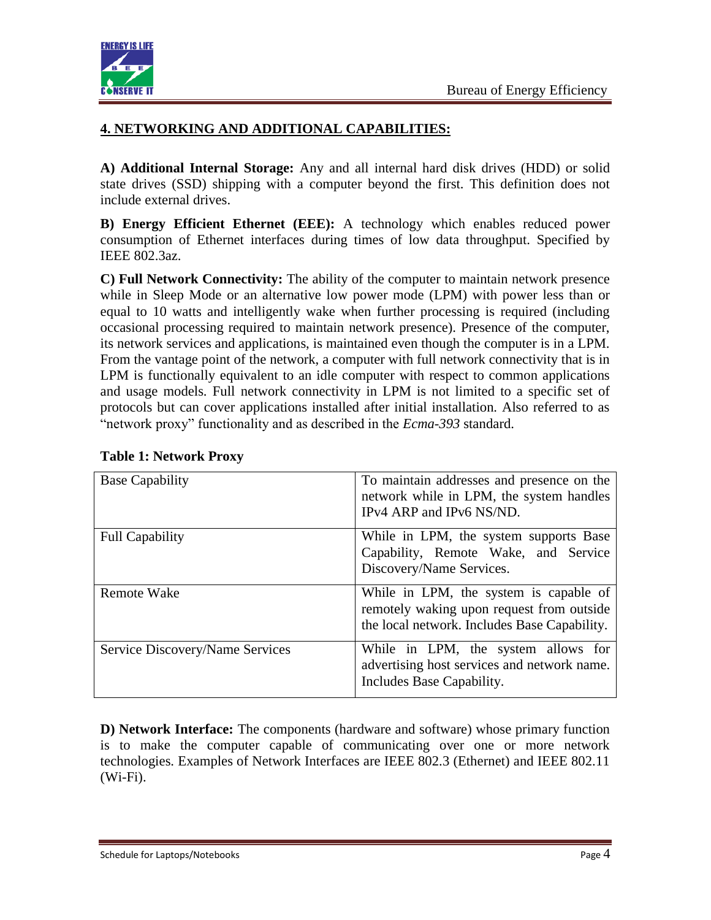

## **4. NETWORKING AND ADDITIONAL CAPABILITIES:**

**A) Additional Internal Storage:** Any and all internal hard disk drives (HDD) or solid state drives (SSD) shipping with a computer beyond the first. This definition does not include external drives.

**B) Energy Efficient Ethernet (EEE):** A technology which enables reduced power consumption of Ethernet interfaces during times of low data throughput. Specified by IEEE 802.3az.

**C) Full Network Connectivity:** The ability of the computer to maintain network presence while in Sleep Mode or an alternative low power mode (LPM) with power less than or equal to 10 watts and intelligently wake when further processing is required (including occasional processing required to maintain network presence). Presence of the computer, its network services and applications, is maintained even though the computer is in a LPM. From the vantage point of the network, a computer with full network connectivity that is in LPM is functionally equivalent to an idle computer with respect to common applications and usage models. Full network connectivity in LPM is not limited to a specific set of protocols but can cover applications installed after initial installation. Also referred to as "network proxy" functionality and as described in the *Ecma-393* standard.

| <b>Base Capability</b>          | To maintain addresses and presence on the<br>network while in LPM, the system handles<br>IPv4 ARP and IPv6 NS/ND.                   |
|---------------------------------|-------------------------------------------------------------------------------------------------------------------------------------|
| <b>Full Capability</b>          | While in LPM, the system supports Base<br>Capability, Remote Wake, and Service<br>Discovery/Name Services.                          |
| <b>Remote Wake</b>              | While in LPM, the system is capable of<br>remotely waking upon request from outside<br>the local network. Includes Base Capability. |
| Service Discovery/Name Services | While in LPM, the system allows for<br>advertising host services and network name.<br>Includes Base Capability.                     |

### **Table 1: Network Proxy**

**D) Network Interface:** The components (hardware and software) whose primary function is to make the computer capable of communicating over one or more network technologies. Examples of Network Interfaces are IEEE 802.3 (Ethernet) and IEEE 802.11 (Wi-Fi).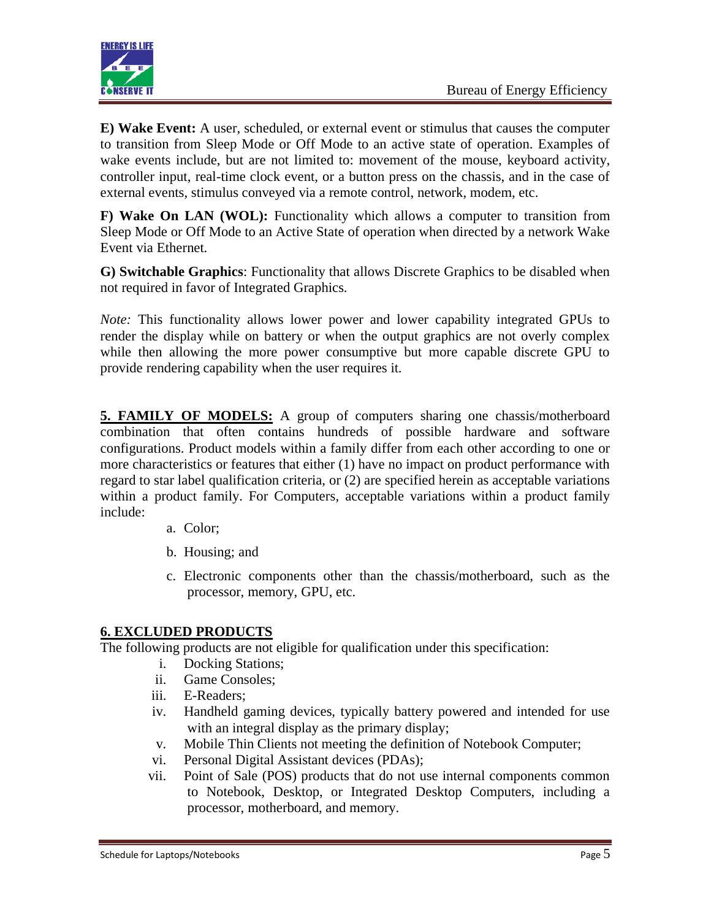

**E) Wake Event:** A user, scheduled, or external event or stimulus that causes the computer to transition from Sleep Mode or Off Mode to an active state of operation. Examples of wake events include, but are not limited to: movement of the mouse, keyboard activity, controller input, real-time clock event, or a button press on the chassis, and in the case of external events, stimulus conveyed via a remote control, network, modem, etc.

**F) Wake On LAN (WOL):** Functionality which allows a computer to transition from Sleep Mode or Off Mode to an Active State of operation when directed by a network Wake Event via Ethernet.

**G) Switchable Graphics**: Functionality that allows Discrete Graphics to be disabled when not required in favor of Integrated Graphics.

*Note:* This functionality allows lower power and lower capability integrated GPUs to render the display while on battery or when the output graphics are not overly complex while then allowing the more power consumptive but more capable discrete GPU to provide rendering capability when the user requires it.

**5. FAMILY OF MODELS:** A group of computers sharing one chassis/motherboard combination that often contains hundreds of possible hardware and software configurations. Product models within a family differ from each other according to one or more characteristics or features that either (1) have no impact on product performance with regard to star label qualification criteria, or (2) are specified herein as acceptable variations within a product family. For Computers, acceptable variations within a product family include:

- a. Color;
- b. Housing; and
- c. Electronic components other than the chassis/motherboard, such as the processor, memory, GPU, etc.

### **6. EXCLUDED PRODUCTS**

The following products are not eligible for qualification under this specification:

- i. Docking Stations;
- ii. Game Consoles;
- iii. E-Readers;
- iv. Handheld gaming devices, typically battery powered and intended for use with an integral display as the primary display;
- v. Mobile Thin Clients not meeting the definition of Notebook Computer;
- vi. Personal Digital Assistant devices (PDAs);
- vii. Point of Sale (POS) products that do not use internal components common to Notebook, Desktop, or Integrated Desktop Computers, including a processor, motherboard, and memory.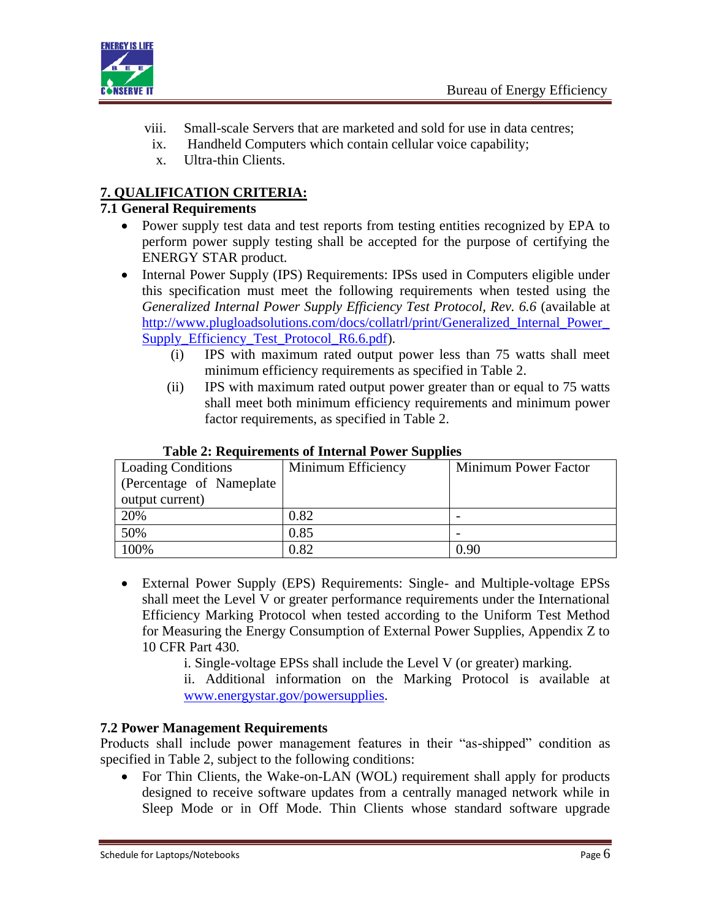

- viii. Small-scale Servers that are marketed and sold for use in data centres;
- ix. Handheld Computers which contain cellular voice capability;
- x. Ultra-thin Clients.

## **7. QUALIFICATION CRITERIA:**

### **7.1 General Requirements**

- Power supply test data and test reports from testing entities recognized by EPA to perform power supply testing shall be accepted for the purpose of certifying the ENERGY STAR product.
- Internal Power Supply (IPS) Requirements: IPSs used in Computers eligible under this specification must meet the following requirements when tested using the *Generalized Internal Power Supply Efficiency Test Protocol, Rev. 6.6* (available at [http://www.plugloadsolutions.com/docs/collatrl/print/Generalized\\_Internal\\_Power\\_](http://www.plugloadsolutions.com/docs/collatrl/print/Generalized_Internal_Power_Supply_Efficiency_Test_Protocol_R6.6.pdf) [Supply\\_Efficiency\\_Test\\_Protocol\\_R6.6.pdf\)](http://www.plugloadsolutions.com/docs/collatrl/print/Generalized_Internal_Power_Supply_Efficiency_Test_Protocol_R6.6.pdf).
	- (i) IPS with maximum rated output power less than 75 watts shall meet minimum efficiency requirements as specified in Table 2.
	- (ii) IPS with maximum rated output power greater than or equal to 75 watts shall meet both minimum efficiency requirements and minimum power factor requirements, as specified in Table 2.

|                           | Tuble 2. Requirements of micrimit Fower buppings |                      |  |  |  |  |  |  |
|---------------------------|--------------------------------------------------|----------------------|--|--|--|--|--|--|
| <b>Loading Conditions</b> | Minimum Efficiency                               | Minimum Power Factor |  |  |  |  |  |  |
| (Percentage of Nameplate) |                                                  |                      |  |  |  |  |  |  |
| output current)           |                                                  |                      |  |  |  |  |  |  |
| 20%                       | 0.82                                             |                      |  |  |  |  |  |  |
| 50%                       | 0.85                                             |                      |  |  |  |  |  |  |
| 100%                      | 0.82                                             | 0.90                 |  |  |  |  |  |  |

#### **Table 2: Requirements of Internal Power Supplies**

 External Power Supply (EPS) Requirements: Single- and Multiple-voltage EPSs shall meet the Level V or greater performance requirements under the International Efficiency Marking Protocol when tested according to the Uniform Test Method for Measuring the Energy Consumption of External Power Supplies, Appendix Z to 10 CFR Part 430.

i. Single-voltage EPSs shall include the Level V (or greater) marking.

ii. Additional information on the Marking Protocol is available at [www.energystar.gov/powersupplies.](http://www.energystar.gov/powersupplies)

### **7.2 Power Management Requirements**

Products shall include power management features in their "as-shipped" condition as specified in Table 2, subject to the following conditions:

 For Thin Clients, the Wake-on-LAN (WOL) requirement shall apply for products designed to receive software updates from a centrally managed network while in Sleep Mode or in Off Mode. Thin Clients whose standard software upgrade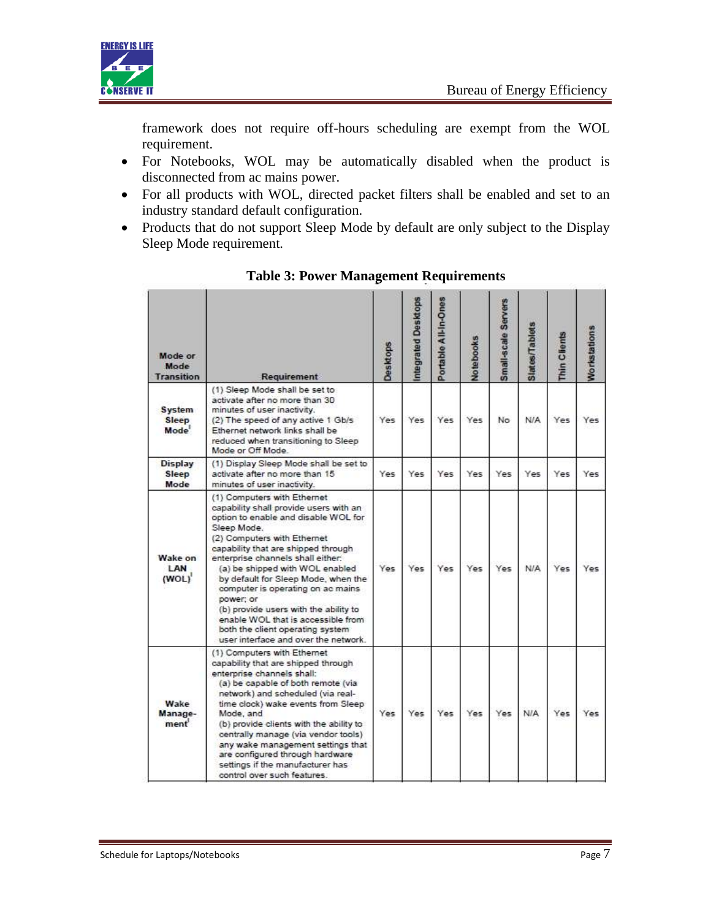

framework does not require off-hours scheduling are exempt from the WOL requirement.

- For Notebooks, WOL may be automatically disabled when the product is disconnected from ac mains power.
- For all products with WOL, directed packet filters shall be enabled and set to an industry standard default configuration.
- Products that do not support Sleep Mode by default are only subject to the Display Sleep Mode requirement.

| Mode or<br>Mode<br><b>Transition</b>               | Requirement                                                                                                                                                                                                                                                                                                                                                                                                                                                                                                                    | Desktops | ntegrated Desktops | Portable All-In-Ones | Notebooks | Small-scale Servers | Slates/Tablets | Thin Clients | Norkstations |
|----------------------------------------------------|--------------------------------------------------------------------------------------------------------------------------------------------------------------------------------------------------------------------------------------------------------------------------------------------------------------------------------------------------------------------------------------------------------------------------------------------------------------------------------------------------------------------------------|----------|--------------------|----------------------|-----------|---------------------|----------------|--------------|--------------|
| <b>System</b><br><b>Sleep</b><br>Mode <sup>'</sup> | (1) Sleep Mode shall be set to<br>activate after no more than 30<br>minutes of user inactivity.<br>(2) The speed of any active 1 Gb/s<br>Ethernet network links shall be<br>reduced when transitioning to Sleep<br>Mode or Off Mode.                                                                                                                                                                                                                                                                                           | Yes      | Yes                | Yes                  | Yes       | No                  | <b>N/A</b>     | Yes          | Yes          |
| <b>Display</b><br>Sleep<br>Mode                    | (1) Display Sleep Mode shall be set to<br>activate after no more than 15<br>minutes of user inactivity.                                                                                                                                                                                                                                                                                                                                                                                                                        | Yes      | Yes                | Yes                  | Yes       | Yes                 | Yes            | Yes          | Yes          |
| Wake on<br><b>LAN</b><br>(WOL)                     | (1) Computers with Ethernet<br>capability shall provide users with an<br>option to enable and disable WOL for<br>Sleep Mode.<br>(2) Computers with Ethernet<br>capability that are shipped through<br>enterprise channels shall either:<br>(a) be shipped with WOL enabled<br>by default for Sleep Mode, when the<br>computer is operating on ac mains<br>power; or<br>(b) provide users with the ability to<br>enable WOL that is accessible from<br>both the client operating system<br>user interface and over the network. | Yes      | Yes                | Yes                  | Yes       | <b>Yes</b>          | N/A            | Yes          | Yes          |
| Wake<br>Manage-<br>ment                            | (1) Computers with Ethernet<br>capability that are shipped through<br>enterprise channels shall:<br>(a) be capable of both remote (via<br>network) and scheduled (via real-<br>time clock) wake events from Sleep<br>Mode, and<br>(b) provide clients with the ability to<br>centrally manage (via vendor tools)<br>any wake management settings that<br>are configured through hardware<br>settings if the manufacturer has<br>control over such features.                                                                    | Yes      | Yes                | Yes                  | Yes       | Yes                 | N/A            | Yes          | Yes          |

**Table 3: Power Management Requirements**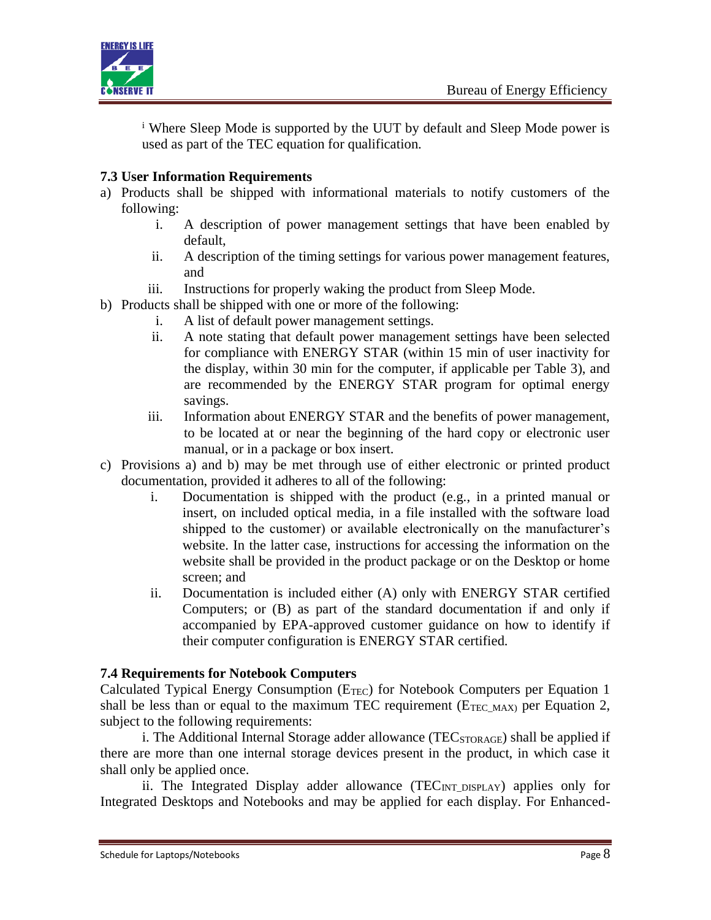

<sup>i</sup> Where Sleep Mode is supported by the UUT by default and Sleep Mode power is used as part of the TEC equation for qualification.

## **7.3 User Information Requirements**

- a) Products shall be shipped with informational materials to notify customers of the following:
	- i. A description of power management settings that have been enabled by default,
	- ii. A description of the timing settings for various power management features, and
	- iii. Instructions for properly waking the product from Sleep Mode.
- b) Products shall be shipped with one or more of the following:
	- i. A list of default power management settings.
	- ii. A note stating that default power management settings have been selected for compliance with ENERGY STAR (within 15 min of user inactivity for the display, within 30 min for the computer, if applicable per Table 3), and are recommended by the ENERGY STAR program for optimal energy savings.
	- iii. Information about ENERGY STAR and the benefits of power management, to be located at or near the beginning of the hard copy or electronic user manual, or in a package or box insert.
- c) Provisions a) and b) may be met through use of either electronic or printed product documentation, provided it adheres to all of the following:
	- i. Documentation is shipped with the product (e.g., in a printed manual or insert, on included optical media, in a file installed with the software load shipped to the customer) or available electronically on the manufacturer's website. In the latter case, instructions for accessing the information on the website shall be provided in the product package or on the Desktop or home screen; and
	- ii. Documentation is included either (A) only with ENERGY STAR certified Computers; or (B) as part of the standard documentation if and only if accompanied by EPA-approved customer guidance on how to identify if their computer configuration is ENERGY STAR certified.

### **7.4 Requirements for Notebook Computers**

Calculated Typical Energy Consumption (E<sub>TEC</sub>) for Notebook Computers per Equation 1 shall be less than or equal to the maximum TEC requirement ( $E_{TEC MAX}$ ) per Equation 2, subject to the following requirements:

i. The Additional Internal Storage adder allowance ( $TEC<sub>STORAGE</sub>$ ) shall be applied if there are more than one internal storage devices present in the product, in which case it shall only be applied once.

ii. The Integrated Display adder allowance (TEC<sub>INT\_DISPLAY</sub>) applies only for Integrated Desktops and Notebooks and may be applied for each display. For Enhanced-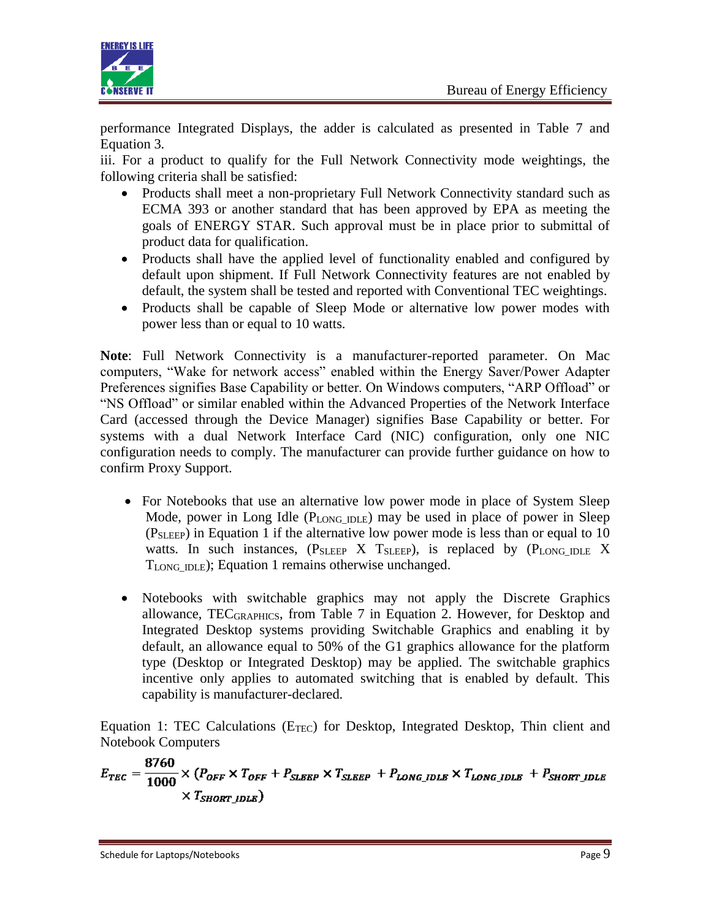

performance Integrated Displays, the adder is calculated as presented in Table 7 and Equation 3.

iii. For a product to qualify for the Full Network Connectivity mode weightings, the following criteria shall be satisfied:

- Products shall meet a non-proprietary Full Network Connectivity standard such as ECMA 393 or another standard that has been approved by EPA as meeting the goals of ENERGY STAR. Such approval must be in place prior to submittal of product data for qualification.
- Products shall have the applied level of functionality enabled and configured by default upon shipment. If Full Network Connectivity features are not enabled by default, the system shall be tested and reported with Conventional TEC weightings.
- Products shall be capable of Sleep Mode or alternative low power modes with power less than or equal to 10 watts.

**Note**: Full Network Connectivity is a manufacturer-reported parameter. On Mac computers, "Wake for network access" enabled within the Energy Saver/Power Adapter Preferences signifies Base Capability or better. On Windows computers, "ARP Offload" or "NS Offload" or similar enabled within the Advanced Properties of the Network Interface Card (accessed through the Device Manager) signifies Base Capability or better. For systems with a dual Network Interface Card (NIC) configuration, only one NIC configuration needs to comply. The manufacturer can provide further guidance on how to confirm Proxy Support.

- For Notebooks that use an alternative low power mode in place of System Sleep Mode, power in Long Idle  $(P_{LONG DLE})$  may be used in place of power in Sleep (PSLEEP) in Equation 1 if the alternative low power mode is less than or equal to 10 watts. In such instances,  $(P_{SLEEP} \ X \ T_{SLEEP})$ , is replaced by  $(P_{LONG\_IDE} \ X$ TLONG\_IDLE); Equation 1 remains otherwise unchanged.
- Notebooks with switchable graphics may not apply the Discrete Graphics allowance, TECGRAPHICS, from Table 7 in Equation 2. However, for Desktop and Integrated Desktop systems providing Switchable Graphics and enabling it by default, an allowance equal to 50% of the G1 graphics allowance for the platform type (Desktop or Integrated Desktop) may be applied. The switchable graphics incentive only applies to automated switching that is enabled by default. This capability is manufacturer-declared.

Equation 1: TEC Calculations ( $E_{TEC}$ ) for Desktop, Integrated Desktop, Thin client and Notebook Computers

$$
E_{TEC} = \frac{8760}{1000} \times (P_{OFF} \times T_{OFF} + P_{SLEEP} \times T_{SLEEP} + P_{Long\_IDLE} \times T_{Long\_IDLE} + P_{SHORT\_IDLE} \times T_{SHORT\_IDLE})
$$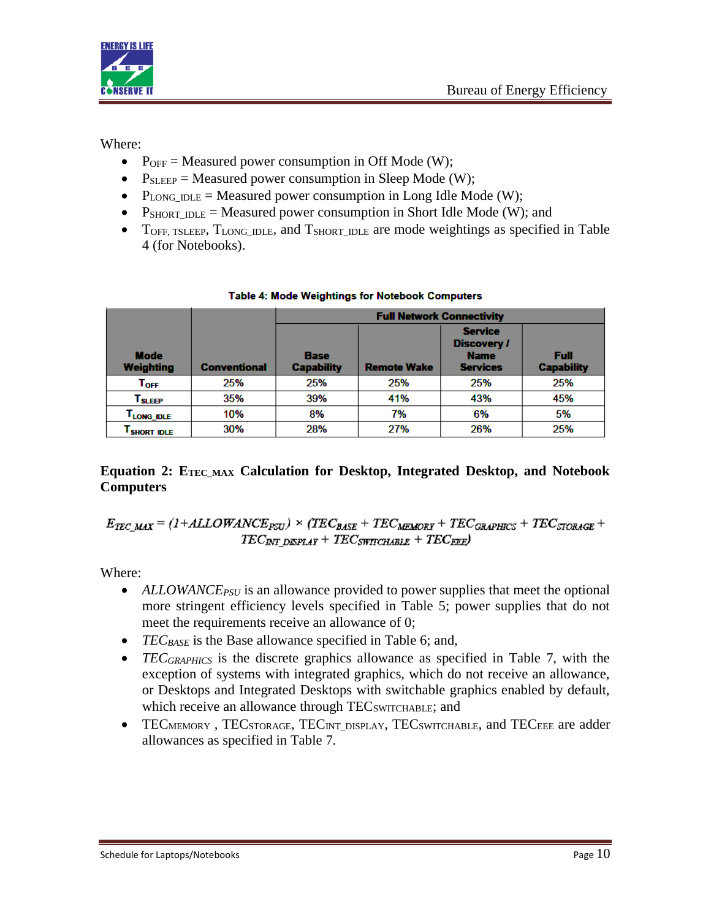

Where:

- $P_{OFF}$  = Measured power consumption in Off Mode (W);
- $P_{SLEEP}$  = Measured power consumption in Sleep Mode (W);
- P<sub>LONG</sub>  $_{\text{DLE}}$  = Measured power consumption in Long Idle Mode (W);
- $P_{SHORTIDLE}$  = Measured power consumption in Short Idle Mode (W); and
- TOFF, TSLEEP, TLONG\_IDLE, and TSHORT\_IDLE are mode weightings as specified in Table 4 (for Notebooks).

|                                 |                     | <b>Full Network Connectivity</b>                       |     |                                                                        |                           |  |  |
|---------------------------------|---------------------|--------------------------------------------------------|-----|------------------------------------------------------------------------|---------------------------|--|--|
| <b>Mode</b><br><b>Weighting</b> | <b>Conventional</b> | <b>Base</b><br><b>Capability</b><br><b>Remote Wake</b> |     | <b>Service</b><br><b>Discovery /</b><br><b>Name</b><br><b>Services</b> | Full<br><b>Capability</b> |  |  |
| $\mathsf{T}_{\mathsf{OFF}}$     | 25%                 | 25%                                                    | 25% | 25%                                                                    | 25%                       |  |  |
| ${\mathsf T}_{\textbf{SLEEP}}$  | 35%                 | 39%                                                    | 41% | 43%                                                                    | 45%                       |  |  |
| T <sub>LONG_IDLE</sub>          | 10%                 | 8%                                                     | 7%  | 6%                                                                     | 5%                        |  |  |
| <b>SHORT IDLE</b>               | 30%                 | 28%                                                    | 27% | 26%                                                                    | 25%                       |  |  |

### Table 4: Mode Weightings for Notebook Computers

### **Equation 2: ETEC\_MAX Calculation for Desktop, Integrated Desktop, and Notebook Computers**

 $E_{TEC,MAX} = (1 + ALLOWANCE_{PSU}) \times (TEC_{BASE} + TEC_{MEMORT} + TEC_{GRAPHICS} + TEC_{STORAGE} +$  $TEC_{\textit{INT-DISPLAY}} + TEC_{\textit{SWTCHABLE}} + TEC_{\textit{EEE}})$ 

Where:

- ALLOWANCE<sub>PSU</sub> is an allowance provided to power supplies that meet the optional more stringent efficiency levels specified in Table 5; power supplies that do not meet the requirements receive an allowance of 0;
- *TEC<sub>BASE</sub>* is the Base allowance specified in Table 6; and,
- *TEC<sub>GRAPHICS</sub>* is the discrete graphics allowance as specified in Table 7, with the exception of systems with integrated graphics, which do not receive an allowance, or Desktops and Integrated Desktops with switchable graphics enabled by default, which receive an allowance through TEC<sub>SWITCHABLE</sub>; and
- TECMEMORY, TECSTORAGE, TECINT\_DISPLAY, TECSWITCHABLE, and TECEEE are adder allowances as specified in Table 7.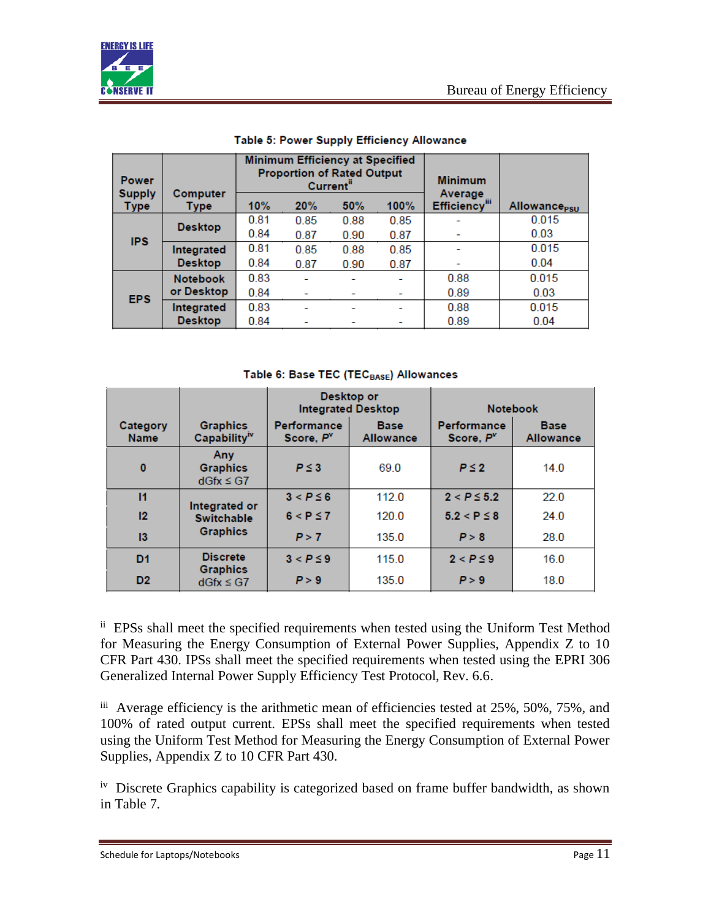

| <b>Power</b><br><b>Supply</b> | Computer        | Minimum Efficiency at Specified<br><b>Proportion of Rated Output</b><br>Current" |      |      | <b>Minimum</b><br>Average |                           |                                |
|-------------------------------|-----------------|----------------------------------------------------------------------------------|------|------|---------------------------|---------------------------|--------------------------------|
| <b>Type</b>                   | <b>Type</b>     | 10%                                                                              | 20%  | 50%  | 100%                      | Efficiency <sup>III</sup> | <b>Allowance<sub>PSU</sub></b> |
|                               | <b>Desktop</b>  | 0.81                                                                             | 0.85 | 0.88 | 0.85                      |                           | 0.015                          |
| <b>IPS</b>                    |                 | 0.84                                                                             | 0.87 | 0.90 | 0.87                      |                           | 0.03                           |
|                               | Integrated      | 0.81                                                                             | 0.85 | 0.88 | 0.85                      |                           | 0.015                          |
|                               | <b>Desktop</b>  | 0.84                                                                             | 0.87 | 0.90 | 0.87                      |                           | 0.04                           |
|                               | <b>Notebook</b> | 0.83                                                                             |      |      |                           | 0.88                      | 0.015                          |
| <b>EPS</b>                    | or Desktop      | 0.84                                                                             |      |      |                           | 0.89                      | 0.03                           |
|                               | Integrated      | 0.83                                                                             |      |      |                           | 0.88                      | 0.015                          |
|                               | <b>Desktop</b>  | 0.84                                                                             |      |      |                           | 0.89                      | 0.04                           |

#### Table 5: Power Supply Efficiency Allowance

Table 6: Base TEC (TECBASE) Allowances

|                         |                                                 | Desktop or                                                                     | <b>Integrated Desktop</b> | <b>Notebook</b>                             |                                 |
|-------------------------|-------------------------------------------------|--------------------------------------------------------------------------------|---------------------------|---------------------------------------------|---------------------------------|
| Category<br><b>Name</b> | <b>Graphics</b><br>Capability <sup>iv</sup>     | <b>Performance</b><br><b>Base</b><br>Score, P <sup>v</sup><br><b>Allowance</b> |                           | <b>Performance</b><br>Score, P <sup>v</sup> | <b>Base</b><br><b>Allowance</b> |
| $\mathbf{0}$            | <b>Anv</b><br><b>Graphics</b><br>$dGfx \leq G7$ | $P \leq 3$                                                                     | 69.0                      | $P \leq 2$                                  | 14.0                            |
| 11                      | Integrated or                                   | $3 < P \leq 6$                                                                 | 112.0                     | $2 < P \le 5.2$                             | 22.0                            |
| 12 <sup>2</sup>         | <b>Switchable</b>                               | $6 < P \le 7$                                                                  | 120.0                     | $5.2 < P \leq 8$                            | 24.0                            |
| 13                      | <b>Graphics</b>                                 | P > 7                                                                          | 135.0                     | P > 8                                       | 28.0                            |
| D <sub>1</sub>          | <b>Discrete</b>                                 | $3 < P \leq 9$                                                                 | 115.0                     | $2 < P \leq 9$                              | 16.0                            |
| D <sub>2</sub>          | <b>Graphics</b><br>$dGfx \leq G7$               | P > 9                                                                          | 135.0                     | P > 9                                       | 18.0                            |

ii EPSs shall meet the specified requirements when tested using the Uniform Test Method for Measuring the Energy Consumption of External Power Supplies, Appendix Z to 10 CFR Part 430. IPSs shall meet the specified requirements when tested using the EPRI 306 Generalized Internal Power Supply Efficiency Test Protocol, Rev. 6.6.

iii Average efficiency is the arithmetic mean of efficiencies tested at 25%, 50%, 75%, and 100% of rated output current. EPSs shall meet the specified requirements when tested using the Uniform Test Method for Measuring the Energy Consumption of External Power Supplies, Appendix Z to 10 CFR Part 430.

<sup>iv</sup> Discrete Graphics capability is categorized based on frame buffer bandwidth, as shown in Table 7.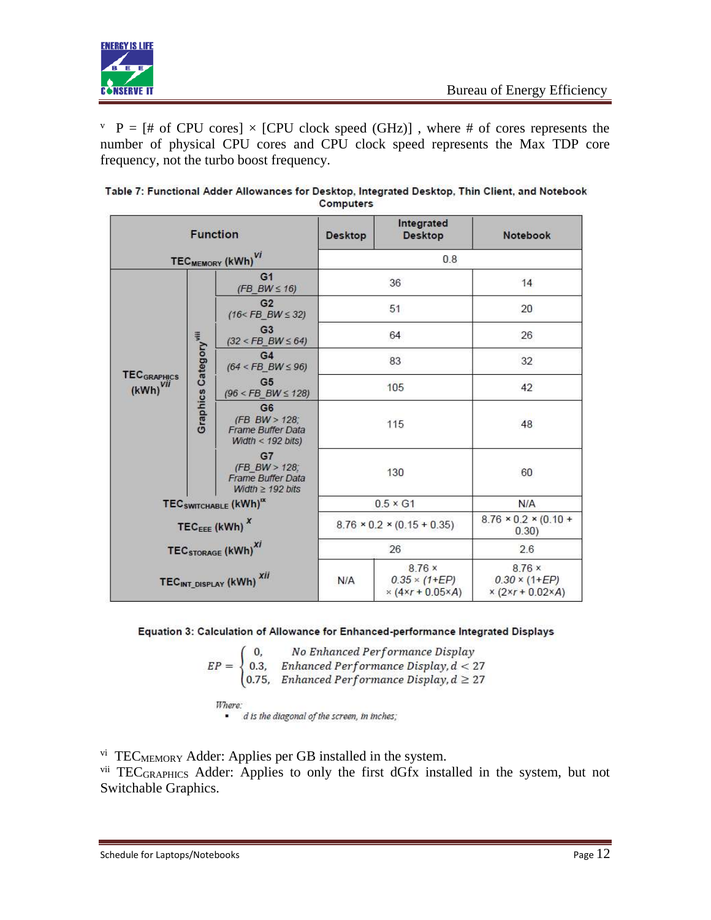

 $V \ P = [\# \text{ of CPU cores}] \times [CPU clock speed (GHz)]$ , where # of cores represents the number of physical CPU cores and CPU clock speed represents the Max TDP core frequency, not the turbo boost frequency.

|                                                                                                                      |                                                                                                                                                | <b>Function</b>                             | <b>Desktop</b>                                        | Integrated<br><b>Desktop</b>                       | Notebook |  |
|----------------------------------------------------------------------------------------------------------------------|------------------------------------------------------------------------------------------------------------------------------------------------|---------------------------------------------|-------------------------------------------------------|----------------------------------------------------|----------|--|
| TEC <sub>MEMORY</sub> (kWh) <sup>VI</sup>                                                                            |                                                                                                                                                | 0.8                                         |                                                       |                                                    |          |  |
|                                                                                                                      |                                                                                                                                                | G <sub>1</sub><br>$(FB_BW \leq 16)$         |                                                       | 36                                                 | 14       |  |
|                                                                                                                      |                                                                                                                                                | G2<br>$(16 <$ FB BW $\leq$ 32)              |                                                       | 51                                                 | 20       |  |
|                                                                                                                      |                                                                                                                                                | G <sub>3</sub><br>$(32 <$ FB_BW $\leq 64)$  |                                                       | 64                                                 | 26       |  |
| <b>Graphics Category<sup>vill</sup></b><br><b>TEC</b> GRAPHICS<br>$(kWh)^{VII}$                                      |                                                                                                                                                | G <sub>4</sub><br>$(64 <$ FB BW $\leq 96)$  | 83                                                    |                                                    | 32       |  |
|                                                                                                                      |                                                                                                                                                | G <sub>5</sub><br>$(96 <$ FB_BW $\leq 128)$ | 105                                                   |                                                    | 42       |  |
|                                                                                                                      | G <sub>6</sub><br>(FB BW > 128)<br><b>Frame Buffer Data</b><br>Width < $192 \text{ bits}$ )<br>G7<br>(FB BW > 128)<br><b>Frame Buffer Data</b> |                                             | 115                                                   | 48                                                 |          |  |
|                                                                                                                      |                                                                                                                                                | Width $\geq$ 192 bits                       | 130                                                   |                                                    | 60       |  |
|                                                                                                                      |                                                                                                                                                | TEC SWITCHABLE (KWh) <sup>IX</sup>          | $0.5 \times G1$                                       |                                                    | N/A      |  |
| TEC <sub>EEE</sub> (kWh) $^{x}$<br>TEC <sub>STORAGE</sub> (kWh) <sup>Xi</sup><br>TECINT_DISPLAY (kWh) <sup>XII</sup> |                                                                                                                                                | $8.76 \times 0.2 \times (0.15 + 0.35)$      |                                                       | $8.76 \times 0.2 \times (0.10 +$<br>0.30           |          |  |
|                                                                                                                      |                                                                                                                                                |                                             | 26                                                    | 2.6                                                |          |  |
|                                                                                                                      |                                                                                                                                                | N/A                                         | 8.76x<br>$0.35 \times (1 + EP)$<br>$× (4×r + 0.05×A)$ | 8.76x<br>$0.30 \times (1 + EP)$<br>$x(2x + 0.02x)$ |          |  |

| Table 7: Functional Adder Allowances for Desktop, Integrated Desktop, Thin Client, and Notebook |
|-------------------------------------------------------------------------------------------------|
| <b>Computers</b>                                                                                |

#### Equation 3: Calculation of Allowance for Enhanced-performance Integrated Displays

 $\begin{cases} \begin{array}{ll} 0, \qquad \textit{No Enhanced Performance Display} \\ 0.3, \quad \textit{Enhanced Performance Display}, d < 27 \\ 0.75, \quad \textit{Enhanced Performance Display}, d \geq 27 \end{array} \end{cases}$  $EP =$ 

Where: · d is the diagonal of the screen, in inches;

vi TECMEMORY Adder: Applies per GB installed in the system.

vii TECGRAPHICS Adder: Applies to only the first dGfx installed in the system, but not Switchable Graphics.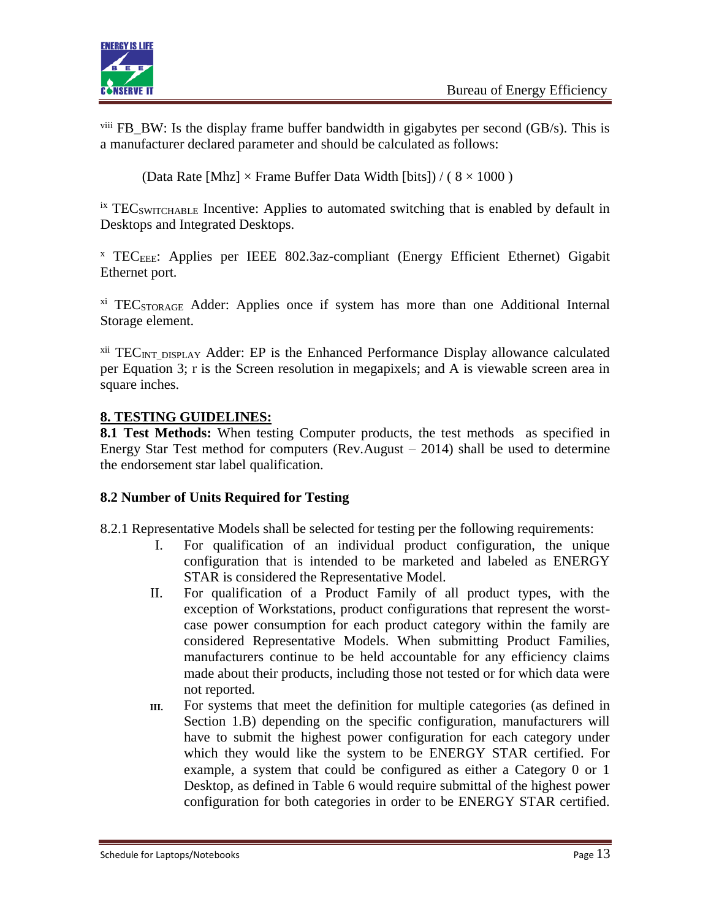

viii FB\_BW: Is the display frame buffer bandwidth in gigabytes per second (GB/s). This is a manufacturer declared parameter and should be calculated as follows:

(Data Rate [Mhz]  $\times$  Frame Buffer Data Width [bits]) / ( $8 \times 1000$ )

 $\frac{1}{10}$  ix TEC<sub>SWITCHABLE</sub> Incentive: Applies to automated switching that is enabled by default in Desktops and Integrated Desktops.

 $X$  TEC<sub>EEE</sub>: Applies per IEEE 802.3az-compliant (Energy Efficient Ethernet) Gigabit Ethernet port.

<sup>xi</sup> TEC<sub>STORAGE</sub> Adder: Applies once if system has more than one Additional Internal Storage element.

 $xii$  TEC<sub>INT</sub> DISPLAY Adder: EP is the Enhanced Performance Display allowance calculated per Equation 3; r is the Screen resolution in megapixels; and A is viewable screen area in square inches.

## **8. TESTING GUIDELINES:**

**8.1 Test Methods:** When testing Computer products, the test methods as specified in Energy Star Test method for computers (Rev.August – 2014) shall be used to determine the endorsement star label qualification.

### **8.2 Number of Units Required for Testing**

8.2.1 Representative Models shall be selected for testing per the following requirements:

- I. For qualification of an individual product configuration, the unique configuration that is intended to be marketed and labeled as ENERGY STAR is considered the Representative Model.
- II. For qualification of a Product Family of all product types, with the exception of Workstations, product configurations that represent the worstcase power consumption for each product category within the family are considered Representative Models. When submitting Product Families, manufacturers continue to be held accountable for any efficiency claims made about their products, including those not tested or for which data were not reported.
- **III.** For systems that meet the definition for multiple categories (as defined in Section 1.B) depending on the specific configuration, manufacturers will have to submit the highest power configuration for each category under which they would like the system to be ENERGY STAR certified. For example, a system that could be configured as either a Category 0 or 1 Desktop, as defined in Table 6 would require submittal of the highest power configuration for both categories in order to be ENERGY STAR certified.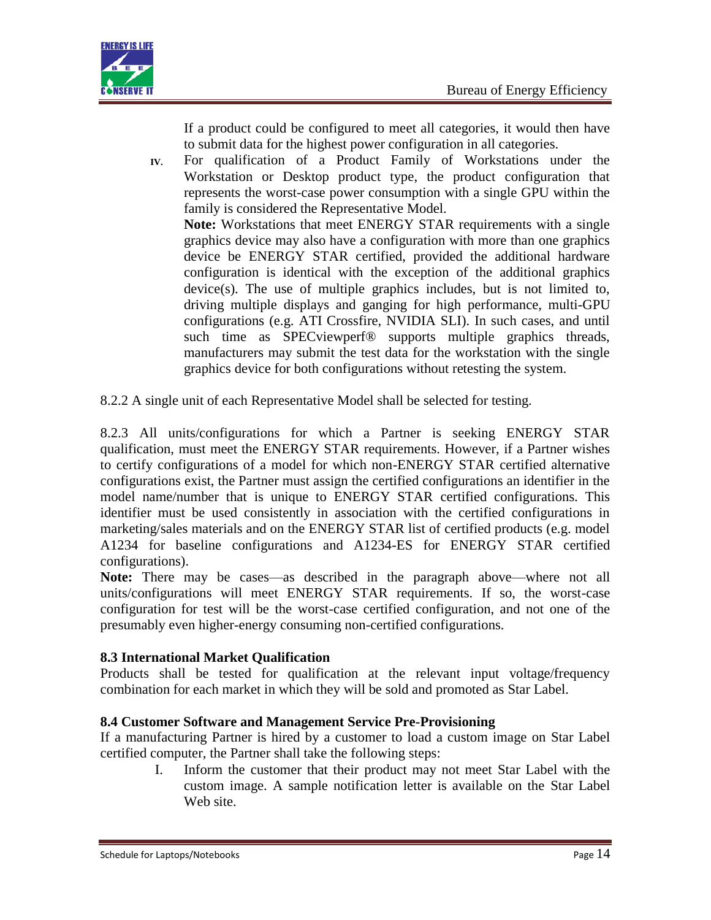

If a product could be configured to meet all categories, it would then have to submit data for the highest power configuration in all categories.

**IV.** For qualification of a Product Family of Workstations under the Workstation or Desktop product type, the product configuration that represents the worst-case power consumption with a single GPU within the family is considered the Representative Model. **Note:** Workstations that meet ENERGY STAR requirements with a single graphics device may also have a configuration with more than one graphics device be ENERGY STAR certified, provided the additional hardware

configuration is identical with the exception of the additional graphics device(s). The use of multiple graphics includes, but is not limited to, driving multiple displays and ganging for high performance, multi-GPU configurations (e.g. ATI Crossfire, NVIDIA SLI). In such cases, and until such time as SPECviewperf<sup>®</sup> supports multiple graphics threads, manufacturers may submit the test data for the workstation with the single graphics device for both configurations without retesting the system.

8.2.2 A single unit of each Representative Model shall be selected for testing.

8.2.3 All units/configurations for which a Partner is seeking ENERGY STAR qualification, must meet the ENERGY STAR requirements. However, if a Partner wishes to certify configurations of a model for which non-ENERGY STAR certified alternative configurations exist, the Partner must assign the certified configurations an identifier in the model name/number that is unique to ENERGY STAR certified configurations. This identifier must be used consistently in association with the certified configurations in marketing/sales materials and on the ENERGY STAR list of certified products (e.g. model A1234 for baseline configurations and A1234-ES for ENERGY STAR certified configurations).

**Note:** There may be cases—as described in the paragraph above—where not all units/configurations will meet ENERGY STAR requirements. If so, the worst-case configuration for test will be the worst-case certified configuration, and not one of the presumably even higher-energy consuming non-certified configurations.

### **8.3 International Market Qualification**

Products shall be tested for qualification at the relevant input voltage/frequency combination for each market in which they will be sold and promoted as Star Label.

### **8.4 Customer Software and Management Service Pre-Provisioning**

If a manufacturing Partner is hired by a customer to load a custom image on Star Label certified computer, the Partner shall take the following steps:

I. Inform the customer that their product may not meet Star Label with the custom image. A sample notification letter is available on the Star Label Web site.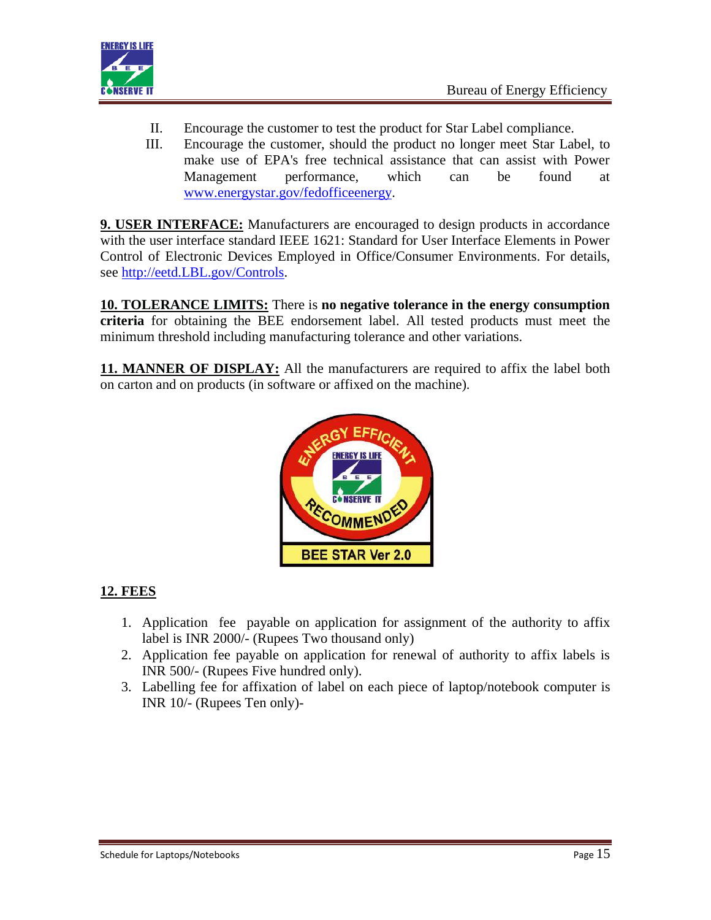

- II. Encourage the customer to test the product for Star Label compliance.
- III. Encourage the customer, should the product no longer meet Star Label, to make use of EPA's free technical assistance that can assist with Power Management performance, which can be found at [www.energystar.gov/fedofficeenergy.](http://www.energystar.gov/fedofficeenergy)

**9. USER INTERFACE:** Manufacturers are encouraged to design products in accordance with the user interface standard IEEE 1621: Standard for User Interface Elements in Power Control of Electronic Devices Employed in Office/Consumer Environments. For details, see [http://eetd.LBL.gov/Controls.](http://eetd.lbl.gov/Controls)

**10. TOLERANCE LIMITS:** There is **no negative tolerance in the energy consumption criteria** for obtaining the BEE endorsement label. All tested products must meet the minimum threshold including manufacturing tolerance and other variations.

**11. MANNER OF DISPLAY:** All the manufacturers are required to affix the label both on carton and on products (in software or affixed on the machine).



# **12. FEES**

- 1. Application fee payable on application for assignment of the authority to affix label is INR 2000/- (Rupees Two thousand only)
- 2. Application fee payable on application for renewal of authority to affix labels is INR 500/- (Rupees Five hundred only).
- 3. Labelling fee for affixation of label on each piece of laptop/notebook computer is INR 10/- (Rupees Ten only)-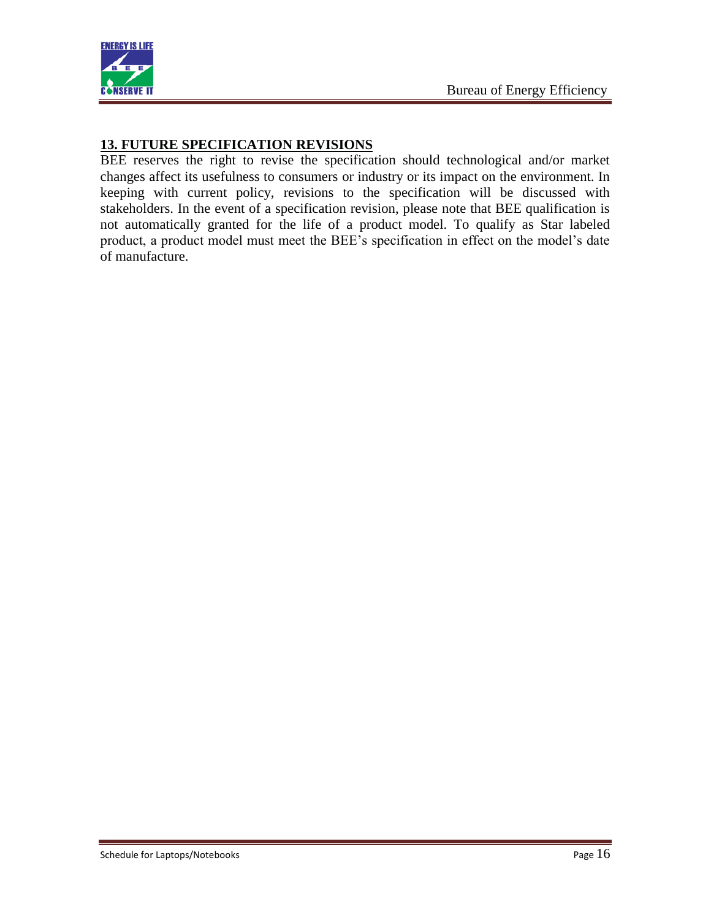

## **13. FUTURE SPECIFICATION REVISIONS**

BEE reserves the right to revise the specification should technological and/or market changes affect its usefulness to consumers or industry or its impact on the environment. In keeping with current policy, revisions to the specification will be discussed with stakeholders. In the event of a specification revision, please note that BEE qualification is not automatically granted for the life of a product model. To qualify as Star labeled product, a product model must meet the BEE's specification in effect on the model's date of manufacture.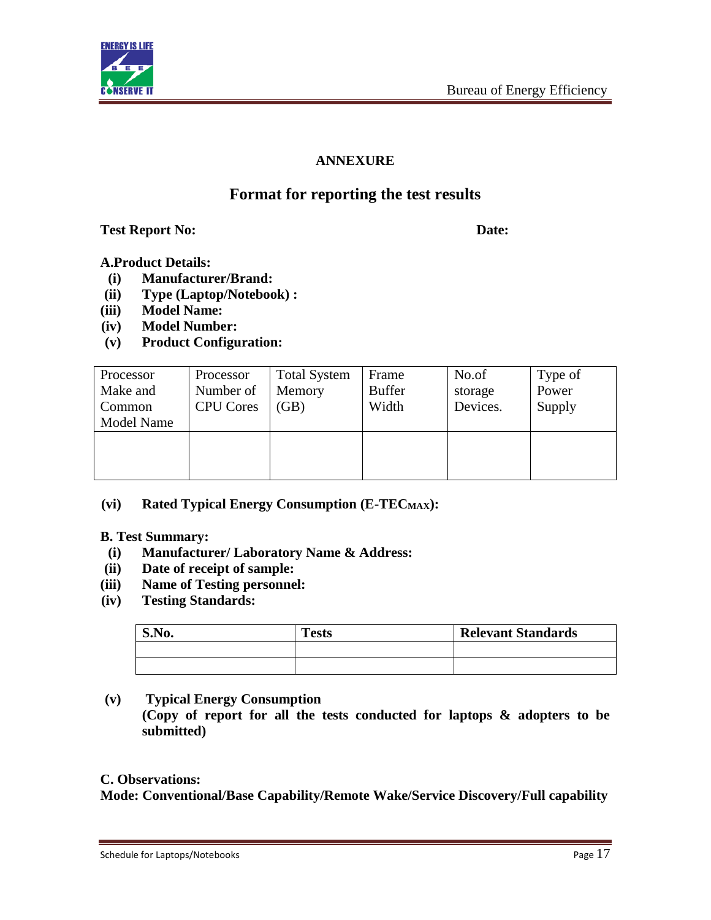

## **ANNEXURE**

# **Format for reporting the test results**

**Test Report No: Date:**

## **A.Product Details:**

- **(i) Manufacturer/Brand:**
- **(ii) Type (Laptop/Notebook) :**
- **(iii) Model Name:**
- **(iv) Model Number:**
- **(v) Product Configuration:**

| Processor<br>Make and<br>Common<br><b>Model Name</b> | Processor<br>Number of<br><b>CPU</b> Cores | <b>Total System</b><br>Memory<br>(GB) | Frame<br><b>Buffer</b><br>Width | No.of<br>storage<br>Devices. | Type of<br>Power<br>Supply |
|------------------------------------------------------|--------------------------------------------|---------------------------------------|---------------------------------|------------------------------|----------------------------|
|                                                      |                                            |                                       |                                 |                              |                            |

## **(vi) Rated Typical Energy Consumption (E-TECMAX):**

**B. Test Summary:**

- **(i) Manufacturer/ Laboratory Name & Address:**
- **(ii) Date of receipt of sample:**
- **(iii) Name of Testing personnel:**
- **(iv) Testing Standards:**

| S.No. | <b>Tests</b> | <b>Relevant Standards</b> |
|-------|--------------|---------------------------|
|       |              |                           |
|       |              |                           |

**(v) Typical Energy Consumption**

**(Copy of report for all the tests conducted for laptops & adopters to be submitted)**

### **C. Observations:**

**Mode: Conventional/Base Capability/Remote Wake/Service Discovery/Full capability**

Schedule for Laptops/Notebooks **Page 17**